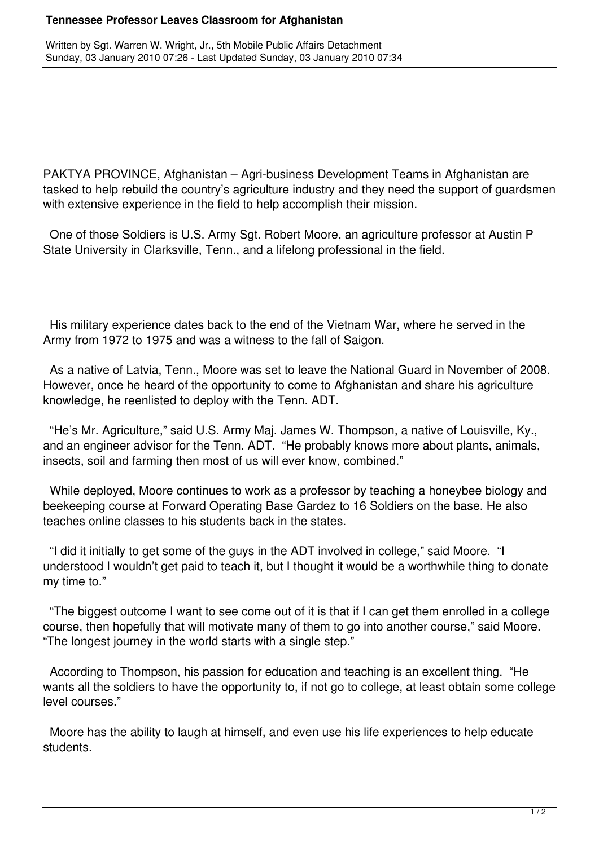## **Tennessee Professor Leaves Classroom for Afghanistan**

Written by Sgt. Warren W. Wright, Jr., 5th Mobile Public Affairs Detachment Sunday, 03 January 2010 07:26 - Last Updated Sunday, 03 January 2010 07:34

PAKTYA PROVINCE, Afghanistan – Agri-business Development Teams in Afghanistan are tasked to help rebuild the country's agriculture industry and they need the support of guardsmen with extensive experience in the field to help accomplish their mission.

 One of those Soldiers is U.S. Army Sgt. Robert Moore, an agriculture professor at Austin P State University in Clarksville, Tenn., and a lifelong professional in the field.

 His military experience dates back to the end of the Vietnam War, where he served in the Army from 1972 to 1975 and was a witness to the fall of Saigon.

 As a native of Latvia, Tenn., Moore was set to leave the National Guard in November of 2008. However, once he heard of the opportunity to come to Afghanistan and share his agriculture knowledge, he reenlisted to deploy with the Tenn. ADT.

 "He's Mr. Agriculture," said U.S. Army Maj. James W. Thompson, a native of Louisville, Ky., and an engineer advisor for the Tenn. ADT. "He probably knows more about plants, animals, insects, soil and farming then most of us will ever know, combined."

 While deployed, Moore continues to work as a professor by teaching a honeybee biology and beekeeping course at Forward Operating Base Gardez to 16 Soldiers on the base. He also teaches online classes to his students back in the states.

 "I did it initially to get some of the guys in the ADT involved in college," said Moore. "I understood I wouldn't get paid to teach it, but I thought it would be a worthwhile thing to donate my time to."

 "The biggest outcome I want to see come out of it is that if I can get them enrolled in a college course, then hopefully that will motivate many of them to go into another course," said Moore. "The longest journey in the world starts with a single step."

 According to Thompson, his passion for education and teaching is an excellent thing. "He wants all the soldiers to have the opportunity to, if not go to college, at least obtain some college level courses."

 Moore has the ability to laugh at himself, and even use his life experiences to help educate students.